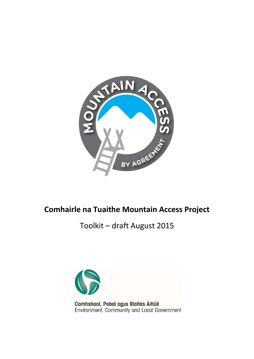

# **Comhairle na Tuaithe Mountain Access Project**

Toolkit – draft August 2015

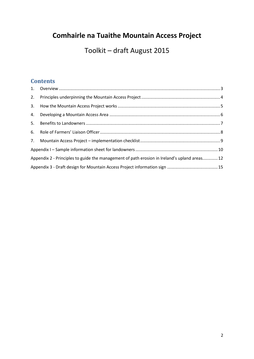# **Comhairle na Tuaithe Mountain Access Project**

Toolkit – draft August 2015

### **Contents**

| 2. |                                                                                              |  |  |
|----|----------------------------------------------------------------------------------------------|--|--|
|    |                                                                                              |  |  |
|    |                                                                                              |  |  |
|    |                                                                                              |  |  |
|    |                                                                                              |  |  |
|    |                                                                                              |  |  |
|    |                                                                                              |  |  |
|    | Appendix 2 - Principles to guide the management of path erosion in Ireland's upland areas 12 |  |  |
|    |                                                                                              |  |  |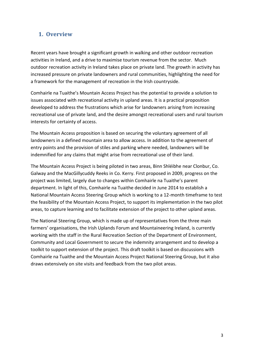### <span id="page-2-0"></span>**1. Overview**

Recent years have brought a significant growth in walking and other outdoor recreation activities in Ireland, and a drive to maximise tourism revenue from the sector. Much outdoor recreation activity in Ireland takes place on private land. The growth in activity has increased pressure on private landowners and rural communities, highlighting the need for a framework for the management of recreation in the Irish countryside.

Comhairle na Tuaithe's Mountain Access Project has the potential to provide a solution to issues associated with recreational activity in upland areas. It is a practical proposition developed to address the frustrations which arise for landowners arising from increasing recreational use of private land, and the desire amongst recreational users and rural tourism interests for certainty of access.

The Mountain Access proposition is based on securing the voluntary agreement of all landowners in a defined mountain area to allow access. In addition to the agreement of entry points and the provision of stiles and parking where needed, landowners will be indemnified for any claims that might arise from recreational use of their land.

The Mountain Access Project is being piloted in two areas, Binn Shléibhe near Clonbur, Co. Galway and the MacGillycuddy Reeks in Co. Kerry. First proposed in 2009, progress on the project was limited, largely due to changes within Comhairle na Tuaithe's parent department. In light of this, Comhairle na Tuaithe decided in June 2014 to establish a National Mountain Access Steering Group which is working to a 12-month timeframe to test the feasibility of the Mountain Access Project, to support its implementation in the two pilot areas, to capture learning and to facilitate extension of the project to other upland areas.

The National Steering Group, which is made up of representatives from the three main farmers' organisations, the Irish Uplands Forum and Mountaineering Ireland, is currently working with the staff in the Rural Recreation Section of the Department of Environment, Community and Local Government to secure the indemnity arrangement and to develop a toolkit to support extension of the project. This draft toolkit is based on discussions with Comhairle na Tuaithe and the Mountain Access Project National Steering Group, but it also draws extensively on site visits and feedback from the two pilot areas.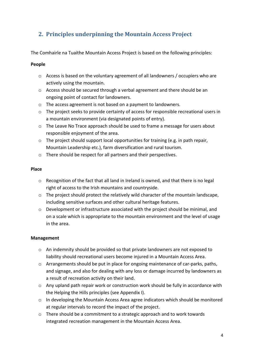# <span id="page-3-0"></span>**2. Principles underpinning the Mountain Access Project**

The Comhairle na Tuaithe Mountain Access Project is based on the following principles:

#### **People**

- o Access is based on the voluntary agreement of all landowners / occupiers who are actively using the mountain.
- o Access should be secured through a verbal agreement and there should be an ongoing point of contact for landowners.
- o The access agreement is not based on a payment to landowners.
- o The project seeks to provide certainty of access for responsible recreational users in a mountain environment (via designated points of entry).
- o The Leave No Trace approach should be used to frame a message for users about responsible enjoyment of the area.
- o The project should support local opportunities for training (e.g. in path repair, Mountain Leadership etc.), farm diversification and rural tourism.
- o There should be respect for all partners and their perspectives.

#### **Place**

- o Recognition of the fact that all land in Ireland is owned, and that there is no legal right of access to the Irish mountains and countryside.
- $\circ$  The project should protect the relatively wild character of the mountain landscape, including sensitive surfaces and other cultural heritage features.
- o Development or infrastructure associated with the project should be minimal, and on a scale which is appropriate to the mountain environment and the level of usage in the area.

#### **Management**

- o An indemnity should be provided so that private landowners are not exposed to liability should recreational users become injured in a Mountain Access Area.
- $\circ$  Arrangements should be put in place for ongoing maintenance of car-parks, paths, and signage, and also for dealing with any loss or damage incurred by landowners as a result of recreation activity on their land.
- $\circ$  Any upland path repair work or construction work should be fully in accordance with the Helping the Hills principles (see Appendix I).
- $\circ$  In developing the Mountain Access Area agree indicators which should be monitored at regular intervals to record the impact of the project.
- $\circ$  There should be a commitment to a strategic approach and to work towards integrated recreation management in the Mountain Access Area.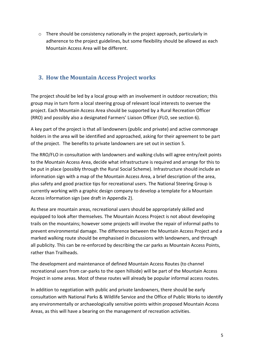$\circ$  There should be consistency nationally in the project approach, particularly in adherence to the project guidelines, but some flexibility should be allowed as each Mountain Access Area will be different.

### <span id="page-4-0"></span>**3. How the Mountain Access Project works**

The project should be led by a local group with an involvement in outdoor recreation; this group may in turn form a local steering group of relevant local interests to oversee the project. Each Mountain Access Area should be supported by a Rural Recreation Officer (RRO) and possibly also a designated Farmers' Liaison Officer (FLO, see section 6).

A key part of the project is that all landowners (public and private) and active commonage holders in the area will be identified and approached, asking for their agreement to be part of the project. The benefits to private landowners are set out in section 5.

The RRO/FLO in consultation with landowners and walking clubs will agree entry/exit points to the Mountain Access Area, decide what infrastructure is required and arrange for this to be put in place (possibly through the Rural Social Scheme). Infrastructure should include an information sign with a map of the Mountain Access Area, a brief description of the area, plus safety and good practice tips for recreational users. The National Steering Group is currently working with a graphic design company to develop a template for a Mountain Access information sign (see draft in Appendix 2).

As these are mountain areas, recreational users should be appropriately skilled and equipped to look after themselves. The Mountain Access Project is not about developing trails on the mountains; however some projects will involve the repair of informal paths to prevent environmental damage. The difference between the Mountain Access Project and a marked walking route should be emphasised in discussions with landowners, and through all publicity. This can be re-enforced by describing the car parks as Mountain Access Points, rather than Trailheads.

The development and maintenance of defined Mountain Access Routes (to channel recreational users from car-parks to the open hillside) will be part of the Mountain Access Project in some areas. Most of these routes will already be popular informal access routes.

In addition to negotiation with public and private landowners, there should be early consultation with National Parks & Wildlife Service and the Office of Public Works to identify any environmentally or archaeologically sensitive points within proposed Mountain Access Areas, as this will have a bearing on the management of recreation activities.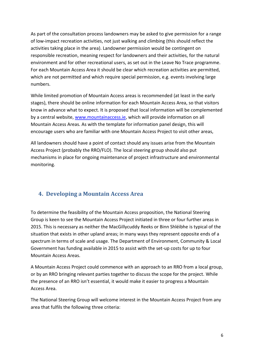As part of the consultation process landowners may be asked to give permission for a range of low-impact recreation activities, not just walking and climbing (this should reflect the activities taking place in the area). Landowner permission would be contingent on responsible recreation, meaning respect for landowners and their activities, for the natural environment and for other recreational users, as set out in the Leave No Trace programme. For each Mountain Access Area it should be clear which recreation activities are permitted, which are not permitted and which require special permission, e.g. events involving large numbers.

While limited promotion of Mountain Access areas is recommended (at least in the early stages), there should be online information for each Mountain Access Area, so that visitors know in advance what to expect. It is proposed that local information will be complemented by a central website[, www.mountainaccess.ie,](http://www.mountainaccess.ie/) which will provide information on all Mountain Access Areas. As with the template for information panel design, this will encourage users who are familiar with one Mountain Access Project to visit other areas,

All landowners should have a point of contact should any issues arise from the Mountain Access Project (probably the RRO/FLO). The local steering group should also put mechanisms in place for ongoing maintenance of project infrastructure and environmental monitoring.

## <span id="page-5-0"></span>**4. Developing a Mountain Access Area**

To determine the feasibility of the Mountain Access proposition, the National Steering Group is keen to see the Mountain Access Project initiated in three or four further areas in 2015. This is necessary as neither the MacGillycuddy Reeks or Binn Shléibhe is typical of the situation that exists in other upland areas; in many ways they represent opposite ends of a spectrum in terms of scale and usage. The Department of Environment, Community & Local Government has funding available in 2015 to assist with the set-up costs for up to four Mountain Access Areas.

A Mountain Access Project could commence with an approach to an RRO from a local group, or by an RRO bringing relevant parties together to discuss the scope for the project. While the presence of an RRO isn't essential, it would make it easier to progress a Mountain Access Area.

The National Steering Group will welcome interest in the Mountain Access Project from any area that fulfils the following three criteria: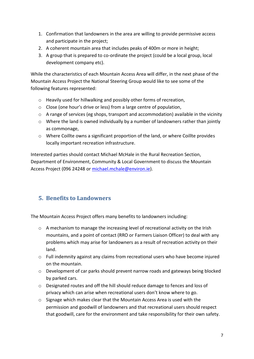- 1. Confirmation that landowners in the area are willing to provide permissive access and participate in the project;
- 2. A coherent mountain area that includes peaks of 400m or more in height;
- 3. A group that is prepared to co-ordinate the project (could be a local group, local development company etc).

While the characteristics of each Mountain Access Area will differ, in the next phase of the Mountain Access Project the National Steering Group would like to see some of the following features represented:

- o Heavily used for hillwalking and possibly other forms of recreation,
- o Close (one hour's drive or less) from a large centre of population,
- $\circ$  A range of services (eg shops, transport and accommodation) available in the vicinity
- o Where the land is owned individually by a number of landowners rather than jointly as commonage,
- $\circ$  Where Coillte owns a significant proportion of the land, or where Coillte provides locally important recreation infrastructure.

Interested parties should contact Michael McHale in the Rural Recreation Section, Department of Environment, Community & Local Government to discuss the Mountain Access Project (096 24248 or [michael.mchale@environ.ie\)](mailto:michael.mchale@environ.ie).

### <span id="page-6-0"></span>**5. Benefits to Landowners**

The Mountain Access Project offers many benefits to landowners including:

- $\circ$  A mechanism to manage the increasing level of recreational activity on the Irish mountains, and a point of contact (RRO or Farmers Liaison Officer) to deal with any problems which may arise for landowners as a result of recreation activity on their land.
- o Full indemnity against any claims from recreational users who have become injured on the mountain.
- o Development of car parks should prevent narrow roads and gateways being blocked by parked cars.
- o Designated routes and off the hill should reduce damage to fences and loss of privacy which can arise when recreational users don't know where to go.
- $\circ$  Signage which makes clear that the Mountain Access Area is used with the permission and goodwill of landowners and that recreational users should respect that goodwill, care for the environment and take responsibility for their own safety.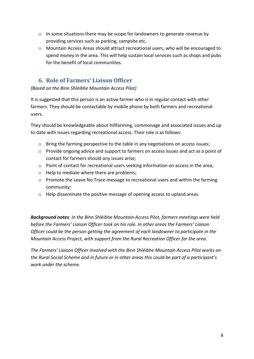- $\circ$  In some situations there may be scope for landowners to generate revenue by providing services such as parking, campsite etc.
- o Mountain Access Areas should attract recreational users, who will be encouraged to spend money in the area. This will help sustain local services such as shops and pubs for the benefit of local communities.

### <span id="page-7-0"></span>**6. Role of Farmers' Liaison Officer**

*(Based on the Binn Shléibhe Mountain Access Pilot)*

It is suggested that this person is an active farmer who is in regular contact with other farmers. They should be contactable by mobile phone by both farmers and recreational users.

They should be knowledgeable about hillfarming, commonage and associated issues and up to date with issues regarding recreational access. Their role is as follows:

- o Bring the farming perspective to the table in any negotiations on access issues;
- o Provide ongoing advice and support to farmers on access issues and act as a point of contact for farmers should any issues arise;
- o Point of contact for recreational users seeking information on access in the area;
- o Help to mediate where there are problems;
- o Promote the Leave No Trace message to recreational users and within the farming community;
- o Help disseminate the positive message of opening access to upland areas.

*Background notes: In the Binn Shléibhe Mountain Access Pilot, farmers meetings were held before the Farmers' Liaison Officer took on his role. In other areas the Farmers' Liaison Officer could be the person getting the agreement of each landowner to participate in the Mountain Access Project, with support from the Rural Recreation Officer for the area.*

*The Farmers' Liaison Officer involved with the Binn Shléibhe Mountain Access Pilot works on the Rural Social Scheme and in future or in other areas this could be part of a participant's work under the scheme.*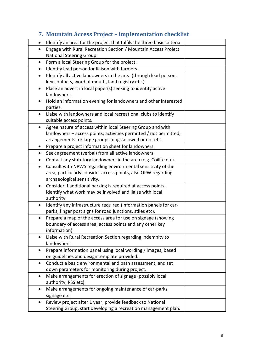# **7. Mountain Access Project – implementation checklist**

<span id="page-8-0"></span>

| $\bullet$ | Identify an area for the project that fulfils the three basic criteria |  |
|-----------|------------------------------------------------------------------------|--|
| $\bullet$ | Engage with Rural Recreation Section / Mountain Access Project         |  |
|           | National Steering Group.                                               |  |
| $\bullet$ | Form a local Steering Group for the project.                           |  |
| $\bullet$ | Identify lead person for liaison with farmers.                         |  |
| $\bullet$ | Identify all active landowners in the area (through lead person,       |  |
|           | key contacts, word of mouth, land registry etc.)                       |  |
|           | Place an advert in local paper(s) seeking to identify active           |  |
|           | landowners.                                                            |  |
|           | Hold an information evening for landowners and other interested        |  |
|           | parties.                                                               |  |
|           | Liaise with landowners and local recreational clubs to identify        |  |
|           | suitable access points.                                                |  |
| $\bullet$ | Agree nature of access within local Steering Group and with            |  |
|           | landowners - access points; activities permitted / not permitted;      |  |
|           | arrangements for large groups; dogs allowed or not etc.                |  |
| $\bullet$ | Prepare a project information sheet for landowners.                    |  |
| $\bullet$ | Seek agreement (verbal) from all active landowners.                    |  |
| $\bullet$ | Contact any statutory landowners in the area (e.g. Coillte etc).       |  |
| $\bullet$ | Consult with NPWS regarding environmental sensitivity of the           |  |
|           | area, particularly consider access points, also OPW regarding          |  |
|           | archaeological sensitivity.                                            |  |
| $\bullet$ | Consider if additional parking is required at access points,           |  |
|           | identify what work may be involved and liaise with local               |  |
|           | authority.                                                             |  |
| $\bullet$ | Identify any infrastructure required (information panels for car-      |  |
|           | parks, finger post signs for road junctions, stiles etc).              |  |
| $\bullet$ | Prepare a map of the access area for use on signage (showing           |  |
|           | boundary of access area, access points and any other key               |  |
|           | information).                                                          |  |
|           | Liaise with Rural Recreation Section regarding indemnity to            |  |
|           | landowners.                                                            |  |
|           | Prepare information panel using local wording / images, based          |  |
|           | on guidelines and design template provided.                            |  |
|           | Conduct a basic environmental and path assessment, and set             |  |
|           | down parameters for monitoring during project.                         |  |
| $\bullet$ | Make arrangements for erection of signage (possibly local              |  |
|           | authority, RSS etc).                                                   |  |
|           | Make arrangements for ongoing maintenance of car-parks,                |  |
|           | signage etc.                                                           |  |
| $\bullet$ | Review project after 1 year, provide feedback to National              |  |
|           | Steering Group, start developing a recreation management plan.         |  |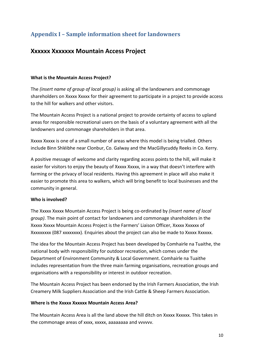# <span id="page-9-0"></span>**Appendix I – Sample information sheet for landowners**

### **Xxxxxx Xxxxxxx Mountain Access Project**

#### **What is the Mountain Access Project?**

The *(insert name of group of local group)* is asking all the landowners and commonage shareholders on Xxxxx Xxxxx for their agreement to participate in a project to provide access to the hill for walkers and other visitors.

The Mountain Access Project is a national project to provide certainty of access to upland areas for responsible recreational users on the basis of a voluntary agreement with all the landowners and commonage shareholders in that area.

Xxxxx Xxxxx is one of a small number of areas where this model is being trialled. Others include Binn Shléibhe near Clonbur, Co. Galway and the MacGillycuddy Reeks in Co. Kerry.

A positive message of welcome and clarity regarding access points to the hill, will make it easier for visitors to enjoy the beauty of Xxxxx Xxxxx, in a way that doesn't interfere with farming or the privacy of local residents. Having this agreement in place will also make it easier to promote this area to walkers, which will bring benefit to local businesses and the community in general.

#### **Who is involved?**

The Xxxxx Xxxxx Mountain Access Project is being co-ordinated by *(insert name of local group)*. The main point of contact for landowners and commonage shareholders in the Xxxxx Xxxxx Mountain Access Project is the Farmers' Liaison Officer, Xxxxx Xxxxxx of Xxxxxxxxx (087 xxxxxxxx). Enquiries about the project can also be made to Xxxxx Xxxxxx.

The idea for the Mountain Access Project has been developed by Comhairle na Tuaithe, the national body with responsibility for outdoor recreation, which comes under the Department of Environment Community & Local Government. Comhairle na Tuaithe includes representation from the three main farming organisations, recreation groups and organisations with a responsibility or interest in outdoor recreation.

The Mountain Access Project has been endorsed by the Irish Farmers Association, the Irish Creamery Milk Suppliers Association and the Irish Cattle & Sheep Farmers Association.

#### **Where is the Xxxxx Xxxxxx Mountain Access Area?**

The Mountain Access Area is all the land above the hill ditch on Xxxxx Xxxxxx. This takes in the commonage areas of xxxx, xxxxx, aaaaaaaa and vvvvvv.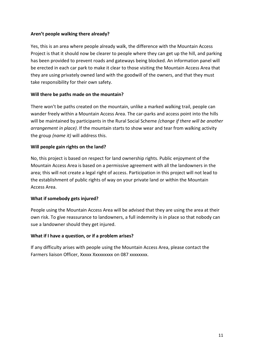#### **Aren't people walking there already?**

Yes, this is an area where people already walk, the difference with the Mountain Access Project is that it should now be clearer to people where they can get up the hill, and parking has been provided to prevent roads and gateways being blocked. An information panel will be erected in each car park to make it clear to those visiting the Mountain Access Area that they are using privately owned land with the goodwill of the owners, and that they must take responsibility for their own safety.

#### **Will there be paths made on the mountain?**

There won't be paths created on the mountain, unlike a marked walking trail, people can wander freely within a Mountain Access Area. The car-parks and access point into the hills will be maintained by participants in the Rural Social Scheme *(change if there will be another arrangement in place)*. If the mountain starts to show wear and tear from walking activity the group *(name it)* will address this.

#### **Will people gain rights on the land?**

No, this project is based on respect for land ownership rights. Public enjoyment of the Mountain Access Area is based on a permissive agreement with all the landowners in the area; this will not create a legal right of access. Participation in this project will not lead to the establishment of public rights of way on your private land or within the Mountain Access Area.

#### **What if somebody gets injured?**

People using the Mountain Access Area will be advised that they are using the area at their own risk. To give reassurance to landowners, a full indemnity is in place so that nobody can sue a landowner should they get injured.

#### **What if I have a question, or if a problem arises?**

If any difficulty arises with people using the Mountain Access Area, please contact the Farmers liaison Officer, Xxxxx Xxxxxxxxx on 087 xxxxxxxx.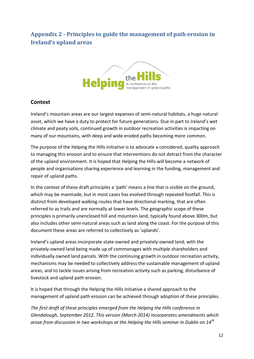# <span id="page-11-0"></span>**Appendix 2 - Principles to guide the management of path erosion in Ireland's upland areas**



#### **Context**

Ireland's mountain areas are our largest expanses of semi-natural habitats, a huge natural asset, which we have a duty to protect for future generations. Due in part to Ireland's wet climate and peaty soils, continued growth in outdoor recreation activities is impacting on many of our mountains, with deep and wide eroded paths becoming more common.

The purpose of the Helping the Hills initiative is to advocate a considered, quality approach to managing this erosion and to ensure that interventions do not detract from the character of the upland environment. It is hoped that Helping the Hills will become a network of people and organisations sharing experience and learning in the funding, management and repair of upland paths.

In the context of these draft principles a 'path' means a line that is visible on the ground, which may be manmade, but in most cases has evolved through repeated footfall. This is distinct from developed walking routes that have directional marking, that are often referred to as trails and are normally at lower levels. The geographic scope of these principles is primarily unenclosed hill and mountain land, typically found above 300m, but also includes other semi-natural areas such as land along the coast. For the purpose of this document these areas are referred to collectively as 'uplands'.

Ireland's upland areas incorporate state-owned and privately-owned land; with the privately-owned land being made up of commonages with multiple shareholders and individually owned land parcels. With the continuing growth in outdoor recreation activity, mechanisms may be needed to collectively address the sustainable management of upland areas, and to tackle issues arising from recreation activity such as parking, disturbance of livestock and upland path erosion.

It is hoped that through the Helping the Hills initiative a shared approach to the management of upland path erosion can be achieved through adoption of these principles.

*The first draft of these principles emerged from the Helping the Hills conference in Glendalough, September 2012. This version (March 2014) incorporates amendments which arose from discussion in two workshops at the Helping the Hills seminar in Dublin on 14th*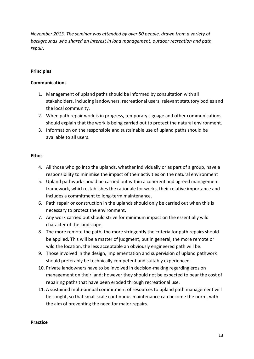*November 2013. The seminar was attended by over 50 people, drawn from a variety of backgrounds who shared an interest in land management, outdoor recreation and path repair.* 

#### **Principles**

#### **Communications**

- 1. Management of upland paths should be informed by consultation with all stakeholders, including landowners, recreational users, relevant statutory bodies and the local community.
- 2. When path repair work is in progress, temporary signage and other communications should explain that the work is being carried out to protect the natural environment.
- 3. Information on the responsible and sustainable use of upland paths should be available to all users.

#### **Ethos**

- 4. All those who go into the uplands, whether individually or as part of a group, have a responsibility to minimise the impact of their activities on the natural environment
- 5. Upland pathwork should be carried out within a coherent and agreed management framework, which establishes the rationale for works, their relative importance and includes a commitment to long-term maintenance.
- 6. Path repair or construction in the uplands should only be carried out when this is necessary to protect the environment.
- 7. Any work carried out should strive for minimum impact on the essentially wild character of the landscape.
- 8. The more remote the path, the more stringently the criteria for path repairs should be applied. This will be a matter of judgment, but in general, the more remote or wild the location, the less acceptable an obviously engineered path will be.
- 9. Those involved in the design, implementation and supervision of upland pathwork should preferably be technically competent and suitably experienced.
- 10. Private landowners have to be involved in decision-making regarding erosion management on their land; however they should not be expected to bear the cost of repairing paths that have been eroded through recreational use.
- 11. A sustained multi-annual commitment of resources to upland path management will be sought, so that small scale continuous maintenance can become the norm, with the aim of preventing the need for major repairs.

#### **Practice**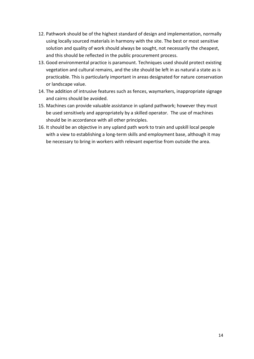- 12. Pathwork should be of the highest standard of design and implementation, normally using locally sourced materials in harmony with the site. The best or most sensitive solution and quality of work should always be sought, not necessarily the cheapest, and this should be reflected in the public procurement process.
- 13. Good environmental practice is paramount. Techniques used should protect existing vegetation and cultural remains, and the site should be left in as natural a state as is practicable. This is particularly important in areas designated for nature conservation or landscape value.
- 14. The addition of intrusive features such as fences, waymarkers, inappropriate signage and cairns should be avoided.
- 15. Machines can provide valuable assistance in upland pathwork; however they must be used sensitively and appropriately by a skilled operator. The use of machines should be in accordance with all other principles.
- 16. It should be an objective in any upland path work to train and upskill local people with a view to establishing a long-term skills and employment base, although it may be necessary to bring in workers with relevant expertise from outside the area.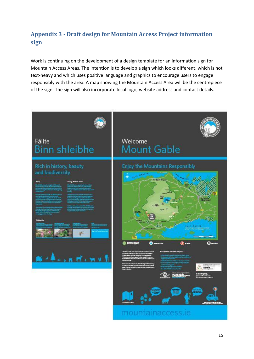# <span id="page-14-0"></span>**Appendix 3 - Draft design for Mountain Access Project information sign**

Work is continuing on the development of a design template for an information sign for Mountain Access Areas. The intention is to develop a sign which looks different, which is not text-heavy and which uses positive language and graphics to encourage users to engage responsibly with the area. A map showing the Mountain Access Area will be the centrepiece of the sign. The sign will also incorporate local logo, website address and contact details.